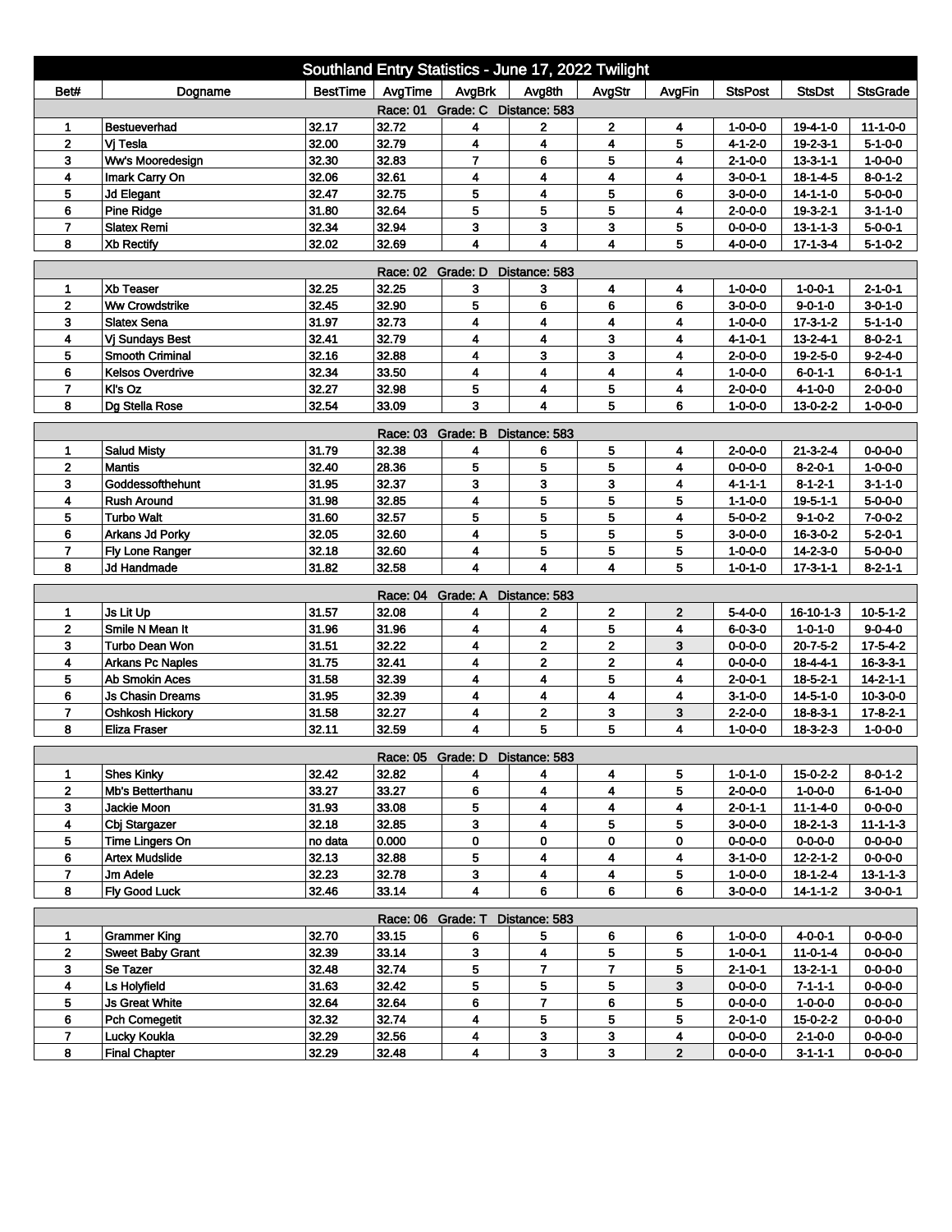| Southland Entry Statistics - June 17, 2022 Twilight                     |                                                |                |                |                                 |                              |                         |                |                                    |                                     |                                    |  |
|-------------------------------------------------------------------------|------------------------------------------------|----------------|----------------|---------------------------------|------------------------------|-------------------------|----------------|------------------------------------|-------------------------------------|------------------------------------|--|
| Bet#                                                                    | Dogname                                        | BestTime       | AvgTime        | AvgBrk                          | Avg8th                       | AvgStr                  | AvgFin         | <b>StsPost</b>                     | <b>StsDst</b>                       | <b>StsGrade</b>                    |  |
| Race: 01 Grade: C Distance: 583                                         |                                                |                |                |                                 |                              |                         |                |                                    |                                     |                                    |  |
| 1                                                                       | <b>Bestueverhad</b>                            | 32.17          | 32.72          | 4                               | $\mathbf{2}$                 | $\mathbf 2$             | 4              | $1 - 0 - 0 - 0$                    | $19 - 4 - 1 - 0$                    | $11 - 1 - 0 - 0$                   |  |
| $\mathbf{2}$                                                            | Vi Tesla                                       | 32.00          | 32.79          | 4                               | $\overline{\mathbf{4}}$      | 4                       | 5              | 4-1-2-0                            | 19-2-3-1                            | $5 - 1 - 0 - 0$                    |  |
| 3                                                                       | Ww's Mooredesign                               | 32.30          | 32.83          | $\overline{7}$                  | 6                            | 5                       | 4              | $2 - 1 - 0 - 0$                    | $13 - 3 - 1 - 1$                    | $1 - 0 - 0 - 0$                    |  |
| 4                                                                       | Imark Carry On                                 | 32.06          | 32.61          | 4                               | 4                            | 4                       | 4              | $3 - 0 - 0 - 1$                    | $18 - 1 - 4 - 5$                    | $8 - 0 - 1 - 2$                    |  |
| 5                                                                       | <b>Jd Elegant</b>                              | 32.47          | 32.75          | 5                               | $\overline{\mathbf{4}}$      | 5                       | 6              | $3 - 0 - 0 - 0$                    | $14 - 1 - 1 - 0$                    | $5 - 0 - 0 - 0$                    |  |
| 6                                                                       | <b>Pine Ridge</b>                              | 31.80          | 32.64          | 5                               | 5                            | 5                       | 4              | $2 - 0 - 0 - 0$                    | $19-3-2-1$                          | $3 - 1 - 1 - 0$                    |  |
| $\overline{7}$                                                          | <b>Slatex Remi</b>                             | 32.34          | 32.94          | 3                               | 3                            | 3                       | 5              | $0 - 0 - 0 - 0$                    | $13 - 1 - 1 - 3$                    | $5 - 0 - 0 - 1$                    |  |
| 8                                                                       | Xb Rectify                                     | 32.02          | 32.69          | 4                               | $\overline{\mathbf{4}}$      | $\overline{\mathbf{4}}$ | 5              | $4 - 0 - 0 - 0$                    | $17 - 1 - 3 - 4$                    | $5 - 1 - 0 - 2$                    |  |
| <b>Race: 02</b><br>Grade: D<br>Distance: 583                            |                                                |                |                |                                 |                              |                         |                |                                    |                                     |                                    |  |
| 1                                                                       | <b>Xb Teaser</b>                               | 32.25          | 32.25          | 3                               | 3                            | 4                       | 4              | $1 - 0 - 0 - 0$                    | $1 - 0 - 0 - 1$                     | $2 - 1 - 0 - 1$                    |  |
| $\mathbf{2}$                                                            | <b>Ww Crowdstrike</b>                          | 32.45          | 32.90          | 5                               | 6                            | 6                       | 6              | $3 - 0 - 0 - 0$                    | $9 - 0 - 1 - 0$                     | $3 - 0 - 1 - 0$                    |  |
| 3                                                                       | <b>Slatex Sena</b>                             | 31.97          | 32.73          | 4                               | $\overline{\mathbf{4}}$      | $\overline{\mathbf{4}}$ | 4              | $1 - 0 - 0 - 0$                    | $17 - 3 - 1 - 2$                    | $5 - 1 - 1 - 0$                    |  |
| 4                                                                       | <b>Vi Sundays Best</b>                         | 32.41          | 32.79          | 4                               | $\overline{\mathbf{4}}$      | 3                       | 4              | $4 - 1 - 0 - 1$                    | $13 - 2 - 4 - 1$                    | $8 - 0 - 2 - 1$                    |  |
| 5                                                                       | <b>Smooth Criminal</b>                         | 32.16          | 32.88          | 4                               | 3                            | 3                       | 4              | $2 - 0 - 0 - 0$                    | 19-2-5-0                            | $9 - 2 - 4 - 0$                    |  |
| 6                                                                       | <b>Kelsos Overdrive</b>                        | 32.34          | 33.50          | 4                               | $\overline{\mathbf{4}}$      | 4                       | 4              | $1 - 0 - 0 - 0$                    | $6 - 0 - 1 - 1$                     | $6 - 0 - 1 - 1$                    |  |
| $\overline{7}$                                                          | KI's Oz                                        | 32.27          | 32.98          | 5                               | $\overline{\mathbf{4}}$      | 5                       | 4              | $2 - 0 - 0 - 0$                    | $4 - 1 - 0 - 0$                     | $2 - 0 - 0 - 0$                    |  |
| 8                                                                       | Dg Stella Rose                                 | 32.54          | 33.09          | 3                               | $\overline{\mathbf{4}}$      | 5                       | 6              | $1 - 0 - 0 - 0$                    | $13 - 0 - 2 - 2$                    | $1 - 0 - 0 - 0$                    |  |
| Grade: B<br>Distance: 583<br>Race: 03                                   |                                                |                |                |                                 |                              |                         |                |                                    |                                     |                                    |  |
| 1                                                                       | <b>Salud Misty</b>                             | 31.79          | 32.38          | 4                               | 6                            | 5                       | 4              | $2 - 0 - 0 - 0$                    | $21 - 3 - 2 - 4$                    | $0 - 0 - 0 - 0$                    |  |
| $\mathbf 2$                                                             | <b>Mantis</b>                                  | 32.40          | 28.36          | 5                               | 5                            | 5                       | 4              | $0 - 0 - 0 - 0$                    | $8 - 2 - 0 - 1$                     | $1 - 0 - 0 - 0$                    |  |
| 3                                                                       | Goddessofthehunt                               | 31.95          | 32.37          | 3                               | 3                            | 3                       | 4              | $4 - 1 - 1 - 1$                    | $8 - 1 - 2 - 1$                     | $3 - 1 - 1 - 0$                    |  |
| 4                                                                       | <b>Rush Around</b>                             | 31.98          | 32.85          | 4                               | 5                            | 5                       | 5              | $1 - 1 - 0 - 0$                    | $19 - 5 - 1 - 1$                    | $5 - 0 - 0 - 0$                    |  |
| 5                                                                       | <b>Turbo Walt</b>                              | 31.60          | 32.57          | 5                               | 5                            | 5                       | 4              | $5 - 0 - 0 - 2$                    | $9 - 1 - 0 - 2$                     | $7 - 0 - 0 - 2$                    |  |
| 6                                                                       | Arkans Jd Porky                                | 32.05          | 32.60          | 4                               | 5                            | 5                       | 5              | $3 - 0 - 0 - 0$                    | 16-3-0-2                            | $5 - 2 - 0 - 1$                    |  |
| 7                                                                       | Fly Lone Ranger                                | 32.18          | 32.60          | 4                               | 5                            | 5                       | 5              | $1 - 0 - 0 - 0$                    | $14 - 2 - 3 - 0$                    | $5 - 0 - 0 - 0$                    |  |
| 8                                                                       | Jd Handmade                                    | 31.82          | 32.58          | 4                               | $\overline{\mathbf{4}}$      | $\overline{\mathbf{4}}$ | 5              | $1 - 0 - 1 - 0$                    | $17 - 3 - 1 - 1$                    | $8 - 2 - 1 - 1$                    |  |
|                                                                         |                                                |                | Race: 04       | Grade: A                        | Distance: 583                |                         |                |                                    |                                     |                                    |  |
| 1                                                                       | Js Lit Up                                      | 31.57          | 32.08          | 4                               | $\mathbf 2$                  | $\mathbf 2$             | $\mathbf{2}$   | $5 - 4 - 0 - 0$                    | $16 - 10 - 1 - 3$                   | $10 - 5 - 1 - 2$                   |  |
| $\mathbf 2$                                                             | Smile N Mean It                                | 31.96          | 31.96          | 4                               | 4                            | 5                       | 4              | $6 - 0 - 3 - 0$                    | $1 - 0 - 1 - 0$                     | $9 - 0 - 4 - 0$                    |  |
| 3                                                                       | Turbo Dean Won                                 | 31.51          | 32.22          | 4                               | $\mathbf 2$                  | $\mathbf 2$             | 3              | $0 - 0 - 0 - 0$                    | $20 - 7 - 5 - 2$                    | $17 - 5 - 4 - 2$                   |  |
| 4                                                                       | <b>Arkans Pc Naples</b>                        | 31.75          | 32.41          | 4                               | $\mathbf{2}$                 | $\mathbf 2$             | 4              | $0 - 0 - 0 - 0$                    | $18 - 4 - 4 - 1$                    | $16 - 3 - 3 - 1$                   |  |
| 5                                                                       | <b>Ab Smokin Aces</b>                          | 31.58          | 32.39          | 4                               | $\overline{\mathbf{4}}$      | 5                       | 4              | $2 - 0 - 0 - 1$                    | $18 - 5 - 2 - 1$                    | $14 - 2 - 1 - 1$                   |  |
| 6                                                                       | <b>Js Chasin Dreams</b>                        | 31.95          | 32.39          | 4                               | 4                            | 4                       | 4              | $3 - 1 - 0 - 0$                    | $14 - 5 - 1 - 0$                    | $10-3-0-0$                         |  |
| $\overline{7}$                                                          | Oshkosh Hickory                                | 31.58          | 32.27          | 4                               | $\mathbf 2$                  | 3                       | 3              | $2 - 2 - 0 - 0$                    | $18 - 8 - 3 - 1$                    | $17 - 8 - 2 - 1$                   |  |
| 8                                                                       | <b>Eliza Fraser</b>                            | 32.11          | 32.59          | 4                               | 5                            | 5                       | 4              | $1 - 0 - 0 - 0$                    | $18 - 3 - 2 - 3$                    | $1 - 0 - 0 - 0$                    |  |
|                                                                         |                                                |                |                |                                 |                              |                         |                |                                    |                                     |                                    |  |
|                                                                         |                                                |                |                | Race: 05 Grade: D Distance: 583 |                              |                         |                |                                    |                                     |                                    |  |
| $\mathbf{2}$                                                            | <b>Shes Kinky</b>                              | 32.42<br>33.27 | 32.82<br>33.27 | 4<br>6                          | 4<br>$\overline{\mathbf{4}}$ | 4<br>4                  | 5<br>5         | $1 - 0 - 1 - 0$                    | 15-0-2-2                            | $8 - 0 - 1 - 2$                    |  |
| 3                                                                       | Mb's Betterthanu<br>Jackie Moon                | 31.93          | 33.08          | 5                               | 4                            | 4                       | 4              | $2 - 0 - 0 - 0$<br>$2 - 0 - 1 - 1$ | $1 - 0 - 0 - 0$<br>$11 - 1 - 4 - 0$ | $6 - 1 - 0 - 0$<br>$0 - 0 - 0 - 0$ |  |
| 4                                                                       | Cbj Stargazer                                  | 32.18          | 32.85          | 3                               | 4                            | 5                       | 5              | $3-0-0-0$                          | $18 - 2 - 1 - 3$                    | $11 - 1 - 1 - 3$                   |  |
| 5                                                                       | Time Lingers On                                | no data        | 0.000          | 0                               | 0                            | 0                       | 0              | $0 - 0 - 0 - 0$                    | $0 - 0 - 0 - 0$                     | $0 - 0 - 0 - 0$                    |  |
| 6                                                                       | <b>Artex Mudslide</b>                          | 32.13          | 32.88          | 5                               | 4                            | 4                       | 4              | $3 - 1 - 0 - 0$                    | $12 - 2 - 1 - 2$                    | $0 - 0 - 0 - 0$                    |  |
| $\overline{7}$                                                          | Jm Adele                                       | 32.23          | 32.78          | 3                               | 4                            | 4                       | 5              | $1 - 0 - 0 - 0$                    | $18 - 1 - 2 - 4$                    | $13 - 1 - 1 - 3$                   |  |
| 8                                                                       | <b>Fly Good Luck</b>                           | 32.46          | 33.14          | 4                               | 6                            | 6                       | 6              | $3 - 0 - 0 - 0$                    | $14 - 1 - 1 - 2$                    | $3 - 0 - 0 - 1$                    |  |
|                                                                         |                                                |                |                |                                 |                              |                         |                |                                    |                                     |                                    |  |
| Race: 06 Grade: T<br>Distance: 583<br>32.70<br>33.15<br>$0 - 0 - 0 - 0$ |                                                |                |                |                                 |                              |                         |                |                                    |                                     |                                    |  |
| 1<br>$\mathbf{2}$                                                       | <b>Grammer King</b><br><b>Sweet Baby Grant</b> | 32.39          | 33.14          | 6                               | 5                            | 6                       | 6              | $1 - 0 - 0 - 0$                    | $4 - 0 - 0 - 1$<br>$11 - 0 - 1 - 4$ | $0 - 0 - 0 - 0$                    |  |
| 3 <sup>2</sup>                                                          | Se Tazer                                       | 32.48          | 32.74          | 3<br>5                          | 4<br>$\overline{7}$          | 5<br>$\mathbf{7}$       | 5<br>5         | $1 - 0 - 0 - 1$<br>$2 - 1 - 0 - 1$ |                                     | $0 - 0 - 0 - 0$                    |  |
| 4                                                                       | Ls Holyfield                                   | 31.63          | 32.42          | 5                               | 5                            | 5                       | 3              | $0 - 0 - 0 - 0$                    | $13 - 2 - 1 - 1$<br>$7 - 1 - 1 - 1$ | $0 - 0 - 0 - 0$                    |  |
| 5                                                                       | <b>Js Great White</b>                          | 32.64          | 32.64          | 6                               | $\overline{7}$               | 6                       | 5              | $0 - 0 - 0 - 0$                    | $1 - 0 - 0 - 0$                     | $0 - 0 - 0 - 0$                    |  |
| 6                                                                       | <b>Pch Comegetit</b>                           | 32.32          | 32.74          | 4                               | 5                            | 5                       | 5              | $2 - 0 - 1 - 0$                    | $15 - 0 - 2 - 2$                    | $0 - 0 - 0 - 0$                    |  |
| 7                                                                       | Lucky Koukla                                   | 32.29          | 32.56          | 4                               | 3                            | 3                       | 4              | $0 - 0 - 0 - 0$                    | $2 - 1 - 0 - 0$                     | $0 - 0 - 0 - 0$                    |  |
| 8                                                                       | <b>Final Chapter</b>                           | 32.29          | 32.48          | 4                               | 3                            | 3                       | $\overline{2}$ | $0 - 0 - 0 - 0$                    | $3 - 1 - 1$                         | $0 - 0 - 0 - 0$                    |  |
|                                                                         |                                                |                |                |                                 |                              |                         |                |                                    |                                     |                                    |  |